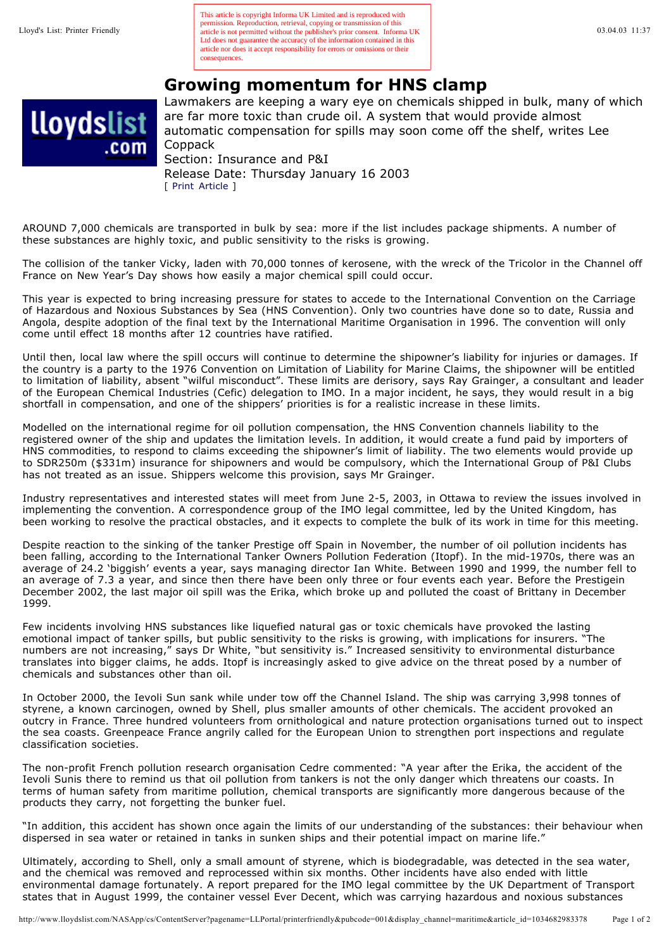permission. Reproduction, retrieval, copying or transmission of this<br>
article is not permitted without the publisher's prior consent. Informa UK and the publisher's prior consent. Informa UK 03.04.03 11:37 This article is copyright Informa UK Limited and is reproduced with Ltd does not guarantee the accuracy of the information contained in this article nor does it accept responsibility for errors or omissions or their consequences.

## **Growing momentum for HNS clamp**



Lawmakers are keeping a wary eye on chemicals shipped in bulk, many of which are far more toxic than crude oil. A system that would provide almost automatic compensation for spills may soon come off the shelf, writes Lee Coppack Section: Insurance and P&I Release Date: Thursday January 16 2003

AROUND 7,000 chemicals are transported in bulk by sea: more if the list includes package shipments. A number of these substances are highly toxic, and public sensitivity to the risks is growing.

[ Print Article ]

The collision of the tanker Vicky, laden with 70,000 tonnes of kerosene, with the wreck of the Tricolor in the Channel off France on New Year's Day shows how easily a major chemical spill could occur.

This year is expected to bring increasing pressure for states to accede to the International Convention on the Carriage of Hazardous and Noxious Substances by Sea (HNS Convention). Only two countries have done so to date, Russia and Angola, despite adoption of the final text by the International Maritime Organisation in 1996. The convention will only come until effect 18 months after 12 countries have ratified.

Until then, local law where the spill occurs will continue to determine the shipowner's liability for injuries or damages. If the country is a party to the 1976 Convention on Limitation of Liability for Marine Claims, the shipowner will be entitled to limitation of liability, absent "wilful misconduct". These limits are derisory, says Ray Grainger, a consultant and leader of the European Chemical Industries (Cefic) delegation to IMO. In a major incident, he says, they would result in a big shortfall in compensation, and one of the shippers' priorities is for a realistic increase in these limits.

Modelled on the international regime for oil pollution compensation, the HNS Convention channels liability to the registered owner of the ship and updates the limitation levels. In addition, it would create a fund paid by importers of HNS commodities, to respond to claims exceeding the shipowner's limit of liability. The two elements would provide up to SDR250m (\$331m) insurance for shipowners and would be compulsory, which the International Group of P&I Clubs has not treated as an issue. Shippers welcome this provision, says Mr Grainger.

Industry representatives and interested states will meet from June 2-5, 2003, in Ottawa to review the issues involved in implementing the convention. A correspondence group of the IMO legal committee, led by the United Kingdom, has been working to resolve the practical obstacles, and it expects to complete the bulk of its work in time for this meeting.

Despite reaction to the sinking of the tanker Prestige off Spain in November, the number of oil pollution incidents has been falling, according to the International Tanker Owners Pollution Federation (Itopf). In the mid-1970s, there was an average of 24.2 'biggish' events a year, says managing director Ian White. Between 1990 and 1999, the number fell to an average of 7.3 a year, and since then there have been only three or four events each year. Before the Prestigein December 2002, the last major oil spill was the Erika, which broke up and polluted the coast of Brittany in December 1999.

Few incidents involving HNS substances like liquefied natural gas or toxic chemicals have provoked the lasting emotional impact of tanker spills, but public sensitivity to the risks is growing, with implications for insurers. "The numbers are not increasing," says Dr White, "but sensitivity is." Increased sensitivity to environmental disturbance translates into bigger claims, he adds. Itopf is increasingly asked to give advice on the threat posed by a number of chemicals and substances other than oil.

In October 2000, the Ievoli Sun sank while under tow off the Channel Island. The ship was carrying 3,998 tonnes of styrene, a known carcinogen, owned by Shell, plus smaller amounts of other chemicals. The accident provoked an outcry in France. Three hundred volunteers from ornithological and nature protection organisations turned out to inspect the sea coasts. Greenpeace France angrily called for the European Union to strengthen port inspections and regulate classification societies.

The non-profit French pollution research organisation Cedre commented: "A year after the Erika, the accident of the Ievoli Sunis there to remind us that oil pollution from tankers is not the only danger which threatens our coasts. In terms of human safety from maritime pollution, chemical transports are significantly more dangerous because of the products they carry, not forgetting the bunker fuel.

"In addition, this accident has shown once again the limits of our understanding of the substances: their behaviour when dispersed in sea water or retained in tanks in sunken ships and their potential impact on marine life."

Ultimately, according to Shell, only a small amount of styrene, which is biodegradable, was detected in the sea water, and the chemical was removed and reprocessed within six months. Other incidents have also ended with little environmental damage fortunately. A report prepared for the IMO legal committee by the UK Department of Transport states that in August 1999, the container vessel Ever Decent, which was carrying hazardous and noxious substances